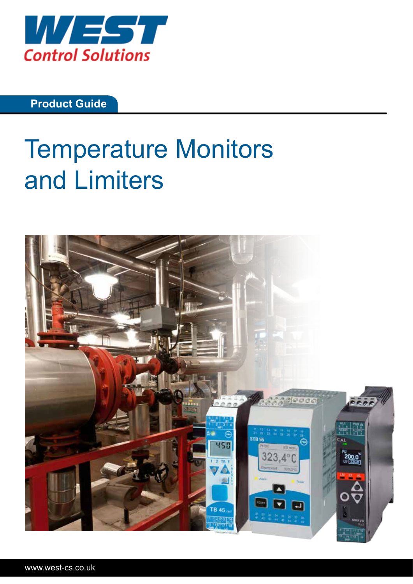

**Product Guide**

# Temperature Monitors and Limiters

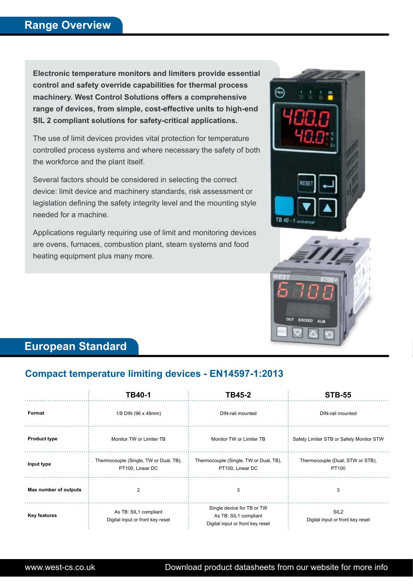**Electronic temperature monitors and limiters provide essential control and safety override capabilities for thermal process machinery. West Control Solutions offers a comprehensive range of devices, from simple, cost-effective units to high-end SIL 2 compliant solutions for safety-critical applications.** 

The use of limit devices provides vital protection for temperature controlled process systems and where necessary the safety of both the workforce and the plant itself.

Several factors should be considered in selecting the correct device: limit device and machinery standards, risk assessment or legislation defining the safety integrity level and the mounting style needed for a machine.

Applications regularly requiring use of limit and monitoring devices are ovens, furnaces, combustion plant, steam systems and food heating equipment plus many more.





# **European Standard**

# **Compact temperature limiting devices - EN14597-1:2013**

|                       | TB40-1                                                     | TB45-2                                                                                  | <b>STB-55</b>                                        |
|-----------------------|------------------------------------------------------------|-----------------------------------------------------------------------------------------|------------------------------------------------------|
| Format                | 1/8 DIN (96 x 48mm)                                        | DIN-rail mounted                                                                        | DIN-rail mounted                                     |
| <b>Product type</b>   | Monitor TW or Limiter TB                                   | Monitor TW or Limiter TB                                                                | Safety Limiter STB or Safety Monitor STW             |
| Input type            | Thermocouple (Single, TW or Dual, TB),<br>PT100, Linear DC | Thermocouple (Single, TW or Dual, TB),<br>PT100, Linear DC                              | Thermocouple (Dual, STW or STB),<br>PT100            |
| Max number of outputs | $\overline{2}$                                             | 3                                                                                       | 3                                                    |
| <b>Key features</b>   | As TB: SIL1 compliant<br>Digital input or front key reset  | Single device for TB or TW<br>As TB: SIL1 compliant<br>Digital input or front key reset | SIL <sub>2</sub><br>Digital input or front key reset |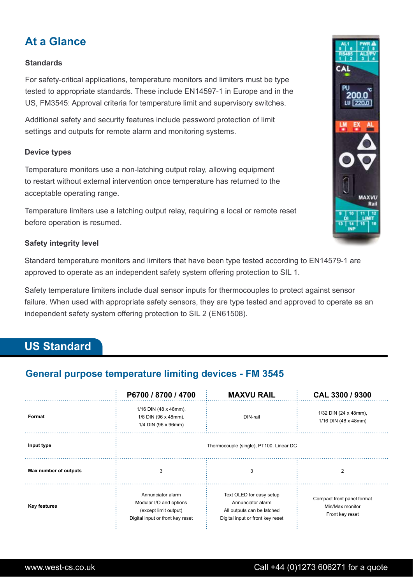# **At a Glance**

### **Standards**

For safety-critical applications, temperature monitors and limiters must be type tested to appropriate standards. These include EN14597-1 in Europe and in the US, FM3545: Approval criteria for temperature limit and supervisory switches.

Additional safety and security features include password protection of limit settings and outputs for remote alarm and monitoring systems.

#### **Device types**

Temperature monitors use a non-latching output relay, allowing equipment to restart without external intervention once temperature has returned to the acceptable operating range.

Temperature limiters use a latching output relay, requiring a local or remote reset before operation is resumed.

#### **Safety integrity level**

Standard temperature monitors and limiters that have been type tested according to EN14579-1 are approved to operate as an independent safety system offering protection to SIL 1.

Safety temperature limiters include dual sensor inputs for thermocouples to protect against sensor failure. When used with appropriate safety sensors, they are type tested and approved to operate as an independent safety system offering protection to SIL 2 (EN61508).

# **US Standard**

## **General purpose temperature limiting devices - FM 3545**

|                       | P6700 / 8700 / 4700                                                                                       | <b>MAXVU RAIL</b>                                                                                               | CAL 3300 / 9300                                                  |
|-----------------------|-----------------------------------------------------------------------------------------------------------|-----------------------------------------------------------------------------------------------------------------|------------------------------------------------------------------|
| Format                | 1/16 DIN (48 x 48mm),<br>1/8 DIN (96 x 48mm),<br>1/4 DIN (96 x 96mm)                                      | DIN-rail                                                                                                        | 1/32 DIN (24 x 48mm),<br>1/16 DIN $(48 \times 48$ mm)            |
| Input type            | Thermocouple (single), PT100, Linear DC                                                                   |                                                                                                                 |                                                                  |
| Max number of outputs | 3                                                                                                         | 3                                                                                                               | 2                                                                |
| <b>Key features</b>   | Annunciator alarm<br>Modular I/O and options<br>(except limit output)<br>Digital input or front key reset | Text OLED for easy setup<br>Annunciator alarm<br>All outputs can be latched<br>Digital input or front key reset | Compact front panel format<br>Min/Max monitor<br>Front key reset |

MAXVI